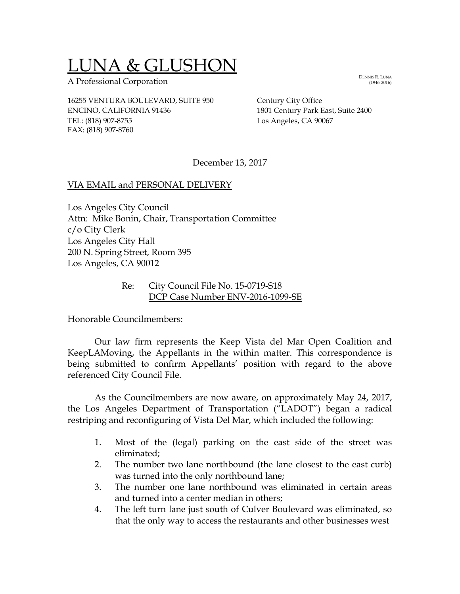# LUNA & GLUSHON

A Professional Corporation

16255 VENTURA BOULEVARD, SUITE 950 Century City Office ENCINO, CALIFORNIA 91436 1801 Century Park East, Suite 2400 TEL: (818) 907-8755 Los Angeles, CA 90067 FAX: (818) 907-8760

December 13, 2017

#### VIA EMAIL and PERSONAL DELIVERY

Los Angeles City Council Attn: Mike Bonin, Chair, Transportation Committee c/o City Clerk Los Angeles City Hall 200 N. Spring Street, Room 395 Los Angeles, CA 90012

#### Re: City Council File No. 15-0719-S18 DCP Case Number ENV-2016-1099-SE

Honorable Councilmembers:

Our law firm represents the Keep Vista del Mar Open Coalition and KeepLAMoving, the Appellants in the within matter. This correspondence is being submitted to confirm Appellants' position with regard to the above referenced City Council File.

As the Councilmembers are now aware, on approximately May 24, 2017, the Los Angeles Department of Transportation ("LADOT") began a radical restriping and reconfiguring of Vista Del Mar, which included the following:

- 1. Most of the (legal) parking on the east side of the street was eliminated;
- 2. The number two lane northbound (the lane closest to the east curb) was turned into the only northbound lane;
- 3. The number one lane northbound was eliminated in certain areas and turned into a center median in others;
- 4. The left turn lane just south of Culver Boulevard was eliminated, so that the only way to access the restaurants and other businesses west

DENNIS R. LUNA (1946-2016)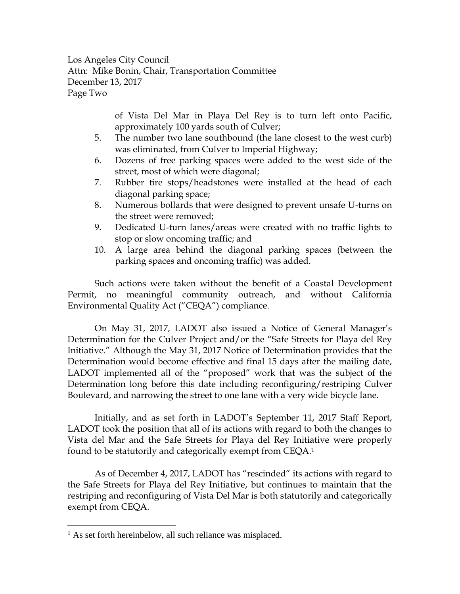Los Angeles City Council Attn: Mike Bonin, Chair, Transportation Committee December 13, 2017 Page Two

> of Vista Del Mar in Playa Del Rey is to turn left onto Pacific, approximately 100 yards south of Culver;

- 5. The number two lane southbound (the lane closest to the west curb) was eliminated, from Culver to Imperial Highway;
- 6. Dozens of free parking spaces were added to the west side of the street, most of which were diagonal;
- 7. Rubber tire stops/headstones were installed at the head of each diagonal parking space;
- 8. Numerous bollards that were designed to prevent unsafe U-turns on the street were removed;
- 9. Dedicated U-turn lanes/areas were created with no traffic lights to stop or slow oncoming traffic; and
- 10. A large area behind the diagonal parking spaces (between the parking spaces and oncoming traffic) was added.

Such actions were taken without the benefit of a Coastal Development Permit, no meaningful community outreach, and without California Environmental Quality Act ("CEQA") compliance.

On May 31, 2017, LADOT also issued a Notice of General Manager's Determination for the Culver Project and/or the "Safe Streets for Playa del Rey Initiative." Although the May 31, 2017 Notice of Determination provides that the Determination would become effective and final 15 days after the mailing date, LADOT implemented all of the "proposed" work that was the subject of the Determination long before this date including reconfiguring/restriping Culver Boulevard, and narrowing the street to one lane with a very wide bicycle lane.

Initially, and as set forth in LADOT's September 11, 2017 Staff Report, LADOT took the position that all of its actions with regard to both the changes to Vista del Mar and the Safe Streets for Playa del Rey Initiative were properly found to be statutorily and categorically exempt from CEQA.<sup>1</sup>

As of December 4, 2017, LADOT has "rescinded" its actions with regard to the Safe Streets for Playa del Rey Initiative, but continues to maintain that the restriping and reconfiguring of Vista Del Mar is both statutorily and categorically exempt from CEQA.

J.

<sup>&</sup>lt;sup>1</sup> As set forth hereinbelow, all such reliance was misplaced.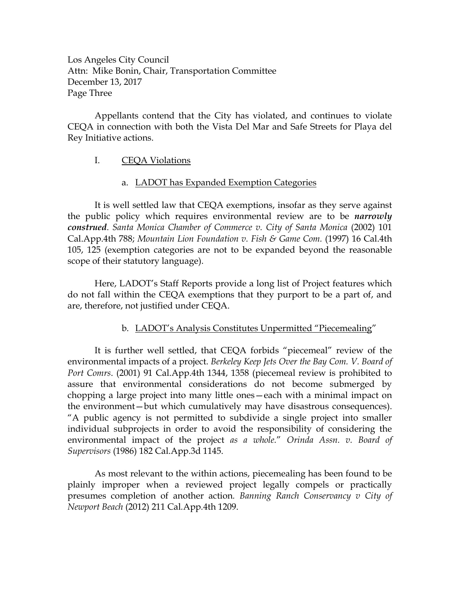Los Angeles City Council Attn: Mike Bonin, Chair, Transportation Committee December 13, 2017 Page Three

Appellants contend that the City has violated, and continues to violate CEQA in connection with both the Vista Del Mar and Safe Streets for Playa del Rey Initiative actions.

# I. CEQA Violations

# a. LADOT has Expanded Exemption Categories

It is well settled law that CEQA exemptions, insofar as they serve against the public policy which requires environmental review are to be *narrowly construed*. *Santa Monica Chamber of Commerce v. City of Santa Monica* (2002) 101 Cal.App.4th 788; *Mountain Lion Foundation v. Fish & Game Com.* (1997) 16 Cal.4th 105, 125 (exemption categories are not to be expanded beyond the reasonable scope of their statutory language).

Here, LADOT's Staff Reports provide a long list of Project features which do not fall within the CEQA exemptions that they purport to be a part of, and are, therefore, not justified under CEQA.

# b. LADOT's Analysis Constitutes Unpermitted "Piecemealing"

It is further well settled, that CEQA forbids "piecemeal" review of the environmental impacts of a project. *Berkeley Keep Jets Over the Bay Com. V. Board of Port Comrs*. (2001) 91 Cal.App.4th 1344, 1358 (piecemeal review is prohibited to assure that environmental considerations do not become submerged by chopping a large project into many little ones—each with a minimal impact on the environment—but which cumulatively may have disastrous consequences). "A public agency is not permitted to subdivide a single project into smaller individual subprojects in order to avoid the responsibility of considering the environmental impact of the project *as a whole.*" *[Orinda Assn. v. Board of](https://1.next.westlaw.com/Link/Document/FullText?findType=Y&serNum=1986134983&pubNum=227&originatingDoc=I49917fd4deb511da8b56def3c325596e&refType=RP&originationContext=document&transitionType=DocumentItem&contextData=(sc.Search))  Supervisors* [\(1986\) 182 Cal.App.3d 1145.](https://1.next.westlaw.com/Link/Document/FullText?findType=Y&serNum=1986134983&pubNum=227&originatingDoc=I49917fd4deb511da8b56def3c325596e&refType=RP&originationContext=document&transitionType=DocumentItem&contextData=(sc.Search))

As most relevant to the within actions, piecemealing has been found to be plainly improper when a reviewed project legally compels or practically presumes completion of another action*. Banning Ranch Conservancy v City of Newport Beach* (2012) 211 Cal*.*App*.*4th 1209.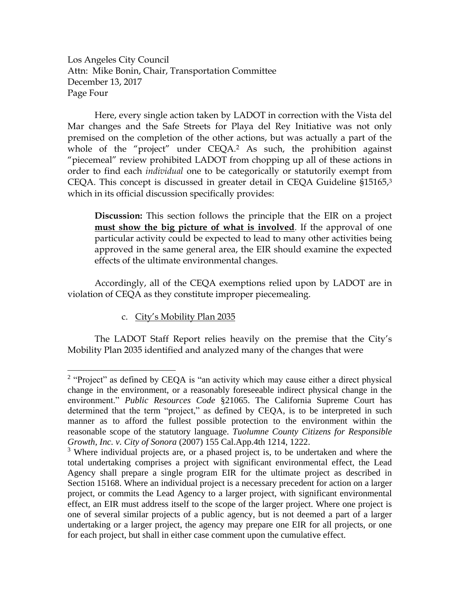Los Angeles City Council Attn: Mike Bonin, Chair, Transportation Committee December 13, 2017 Page Four

Here, every single action taken by LADOT in correction with the Vista del Mar changes and the Safe Streets for Playa del Rey Initiative was not only premised on the completion of the other actions, but was actually a part of the whole of the "project" under CEQA.<sup>2</sup> As such, the prohibition against "piecemeal" review prohibited LADOT from chopping up all of these actions in order to find each *individual* one to be categorically or statutorily exempt from CEQA. This concept is discussed in greater detail in CEQA Guideline §15165, 3 which in its official discussion specifically provides:

**Discussion:** This section follows the principle that the EIR on a project **must show the big picture of what is involved**. If the approval of one particular activity could be expected to lead to many other activities being approved in the same general area, the EIR should examine the expected effects of the ultimate environmental changes.

Accordingly, all of the CEQA exemptions relied upon by LADOT are in violation of CEQA as they constitute improper piecemealing.

c. City's Mobility Plan 2035

J.

The LADOT Staff Report relies heavily on the premise that the City's Mobility Plan 2035 identified and analyzed many of the changes that were

<sup>&</sup>lt;sup>2</sup> "Project" as defined by CEQA is "an activity which may cause either a direct physical change in the environment, or a reasonably foreseeable indirect physical change in the environment." *Public Resources Code* §21065. The California Supreme Court has determined that the term "project," as defined by CEQA, is to be interpreted in such manner as to afford the fullest possible protection to the environment within the reasonable scope of the statutory language. *Tuolumne County Citizens for Responsible Growth, Inc. v. City of Sonora* (2007) 155 Cal.App.4th 1214, 1222.

<sup>&</sup>lt;sup>3</sup> Where individual projects are, or a phased project is, to be undertaken and where the total undertaking comprises a project with significant environmental effect, the Lead Agency shall prepare a single program EIR for the ultimate project as described in Section 15168. Where an individual project is a necessary precedent for action on a larger project, or commits the Lead Agency to a larger project, with significant environmental effect, an EIR must address itself to the scope of the larger project. Where one project is one of several similar projects of a public agency, but is not deemed a part of a larger undertaking or a larger project, the agency may prepare one EIR for all projects, or one for each project, but shall in either case comment upon the cumulative effect.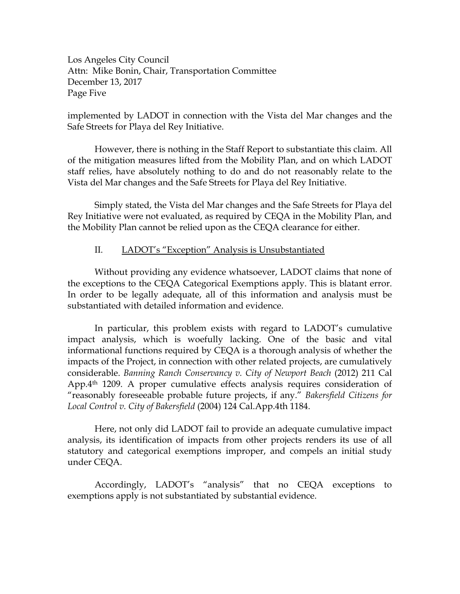Los Angeles City Council Attn: Mike Bonin, Chair, Transportation Committee December 13, 2017 Page Five

implemented by LADOT in connection with the Vista del Mar changes and the Safe Streets for Playa del Rey Initiative.

However, there is nothing in the Staff Report to substantiate this claim. All of the mitigation measures lifted from the Mobility Plan, and on which LADOT staff relies, have absolutely nothing to do and do not reasonably relate to the Vista del Mar changes and the Safe Streets for Playa del Rey Initiative.

Simply stated, the Vista del Mar changes and the Safe Streets for Playa del Rey Initiative were not evaluated, as required by CEQA in the Mobility Plan, and the Mobility Plan cannot be relied upon as the CEQA clearance for either.

#### II. LADOT's "Exception" Analysis is Unsubstantiated

Without providing any evidence whatsoever, LADOT claims that none of the exceptions to the CEQA Categorical Exemptions apply. This is blatant error. In order to be legally adequate, all of this information and analysis must be substantiated with detailed information and evidence.

In particular, this problem exists with regard to LADOT's cumulative impact analysis, which is woefully lacking. One of the basic and vital informational functions required by CEQA is a thorough analysis of whether the impacts of the Project, in connection with other related projects, are cumulatively considerable. *Banning Ranch Conservancy v. City of Newport Beach* (2012) 211 Cal App.4th 1209. A proper cumulative effects analysis requires consideration of "reasonably foreseeable probable future projects, if any." *Bakersfield Citizens for Local Control v. City of Bakersfield* (2004) 124 Cal.App.4th 1184.

Here, not only did LADOT fail to provide an adequate cumulative impact analysis, its identification of impacts from other projects renders its use of all statutory and categorical exemptions improper, and compels an initial study under CEQA.

Accordingly, LADOT's "analysis" that no CEQA exceptions to exemptions apply is not substantiated by substantial evidence.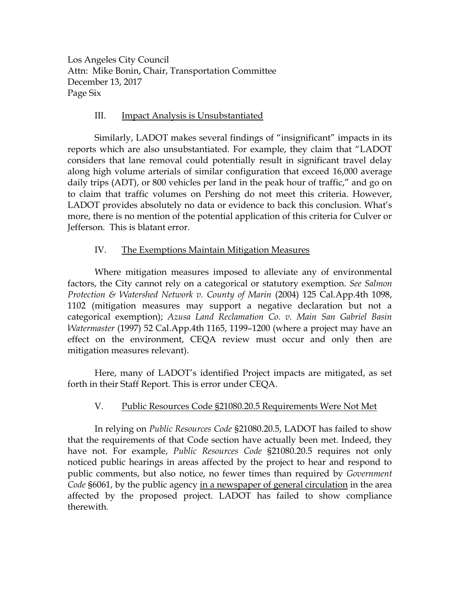Los Angeles City Council Attn: Mike Bonin, Chair, Transportation Committee December 13, 2017 Page Six

# III. Impact Analysis is Unsubstantiated

Similarly, LADOT makes several findings of "insignificant" impacts in its reports which are also unsubstantiated. For example, they claim that "LADOT considers that lane removal could potentially result in significant travel delay along high volume arterials of similar configuration that exceed 16,000 average daily trips (ADT), or 800 vehicles per land in the peak hour of traffic," and go on to claim that traffic volumes on Pershing do not meet this criteria. However, LADOT provides absolutely no data or evidence to back this conclusion. What's more, there is no mention of the potential application of this criteria for Culver or Jefferson. This is blatant error.

# IV. The Exemptions Maintain Mitigation Measures

Where mitigation measures imposed to alleviate any of environmental factors, the City cannot rely on a categorical or statutory exemption. *See Salmon Protection & Watershed Network v. County of Marin* (2004) 125 Cal.App.4th 1098, 1102 (mitigation measures may support a negative declaration but not a categorical exemption); *Azusa Land Reclamation Co. v. Main San Gabriel Basin Watermaster* (1997) 52 Cal.App.4th 1165, 1199–1200 (where a project may have an effect on the environment, CEQA review must occur and only then are mitigation measures relevant).

Here, many of LADOT's identified Project impacts are mitigated, as set forth in their Staff Report. This is error under CEQA.

# V. Public Resources Code §21080.20.5 Requirements Were Not Met

In relying on *Public Resources Code* §21080.20.5, LADOT has failed to show that the requirements of that Code section have actually been met. Indeed, they have not. For example, *Public Resources Code* §21080.20.5 requires not only noticed public hearings in areas affected by the project to hear and respond to public comments, but also notice, no fewer times than required by *Government Code* §6061, by the public agency in a newspaper of general circulation in the area affected by the proposed project. LADOT has failed to show compliance therewith.